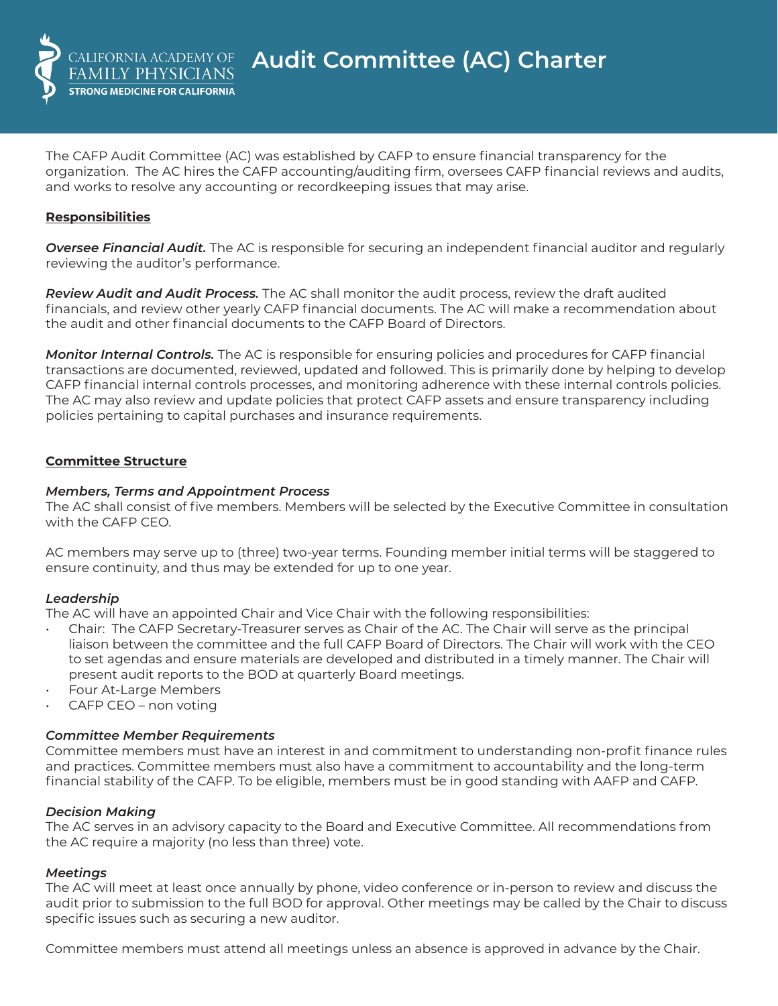

The CAFP Audit Committee (AC) was established by CAFP to ensure financial transparency for the organization. The AC hires the CAFP accounting/auditing firm, oversees CAFP financial reviews and audits, and works to resolve any accounting or recordkeeping issues that may arise.

## **Responsibilities**

*Oversee Financial Audit.* The AC is responsible for securing an independent financial auditor and regularly reviewing the auditor's performance.

*Review Audit and Audit Process.* The AC shall monitor the audit process, review the draft audited financials, and review other yearly CAFP financial documents. The AC will make a recommendation about the audit and other financial documents to the CAFP Board of Directors.

*Monitor Internal Controls.* The AC is responsible for ensuring policies and procedures for CAFP financial transactions are documented, reviewed, updated and followed. This is primarily done by helping to develop CAFP financial internal controls processes, and monitoring adherence with these internal controls policies. The AC may also review and update policies that protect CAFP assets and ensure transparency including policies pertaining to capital purchases and insurance requirements.

## **Committee Structure**

#### *Members, Terms and Appointment Process*

The AC shall consist of five members. Members will be selected by the Executive Committee in consultation with the CAFP CEO.

AC members may serve up to (three) two-year terms. Founding member initial terms will be staggered to ensure continuity, and thus may be extended for up to one year.

## *Leadership*

The AC will have an appointed Chair and Vice Chair with the following responsibilities:

- Chair: The CAFP Secretary-Treasurer serves as Chair of the AC. The Chair will serve as the principal liaison between the committee and the full CAFP Board of Directors. The Chair will work with the CEO to set agendas and ensure materials are developed and distributed in a timely manner. The Chair will present audit reports to the BOD at quarterly Board meetings.
- Four At-Large Members
- CAFP CEO non voting

## *Committee Member Requirements*

Committee members must have an interest in and commitment to understanding non-profit finance rules and practices. Committee members must also have a commitment to accountability and the long-term financial stability of the CAFP. To be eligible, members must be in good standing with AAFP and CAFP.

#### *Decision Making*

The AC serves in an advisory capacity to the Board and Executive Committee. All recommendations from the AC require a majority (no less than three) vote.

## *Meetings*

The AC will meet at least once annually by phone, video conference or in-person to review and discuss the audit prior to submission to the full BOD for approval. Other meetings may be called by the Chair to discuss specific issues such as securing a new auditor.

Committee members must attend all meetings unless an absence is approved in advance by the Chair.